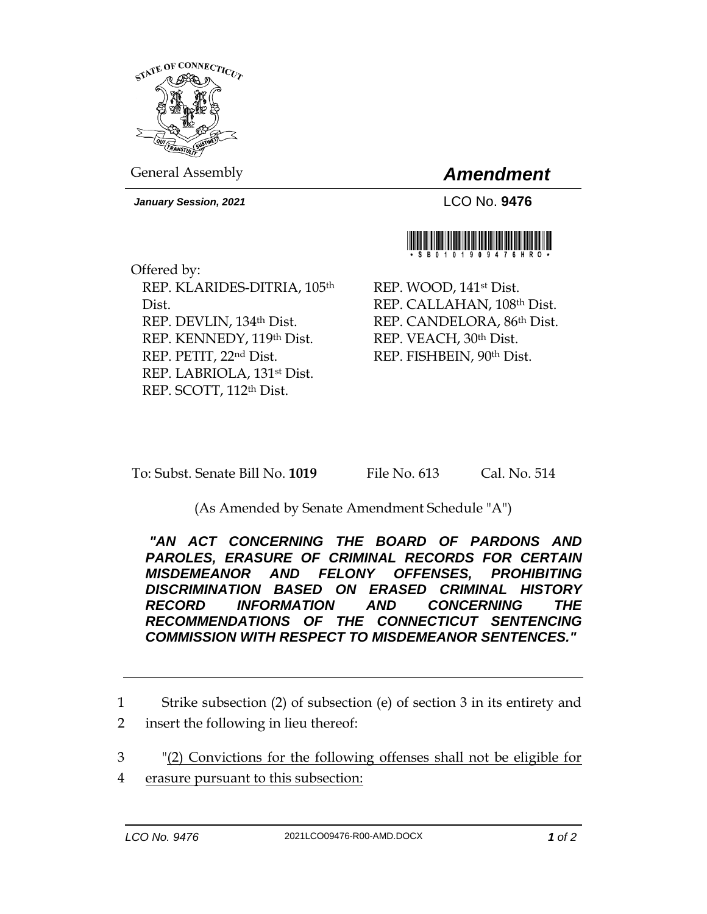

General Assembly *Amendment*

*January Session, 2021* LCO No. **9476**



Offered by: REP. KLARIDES-DITRIA, 105th Dist. REP. DEVLIN, 134th Dist. REP. KENNEDY, 119th Dist. REP. PETIT, 22nd Dist. REP. LABRIOLA, 131st Dist. REP. SCOTT, 112th Dist.

REP. WOOD, 141st Dist. REP. CALLAHAN, 108th Dist. REP. CANDELORA, 86th Dist. REP. VEACH, 30th Dist. REP. FISHBEIN, 90th Dist.

To: Subst. Senate Bill No. **1019** File No. 613 Cal. No. 514

(As Amended by Senate Amendment Schedule "A")

*"AN ACT CONCERNING THE BOARD OF PARDONS AND PAROLES, ERASURE OF CRIMINAL RECORDS FOR CERTAIN MISDEMEANOR AND FELONY OFFENSES, PROHIBITING DISCRIMINATION BASED ON ERASED CRIMINAL HISTORY RECORD INFORMATION AND CONCERNING THE RECOMMENDATIONS OF THE CONNECTICUT SENTENCING COMMISSION WITH RESPECT TO MISDEMEANOR SENTENCES."* 

1 Strike subsection (2) of subsection (e) of section 3 in its entirety and 2 insert the following in lieu thereof:

3 "(2) Convictions for the following offenses shall not be eligible for

4 erasure pursuant to this subsection: